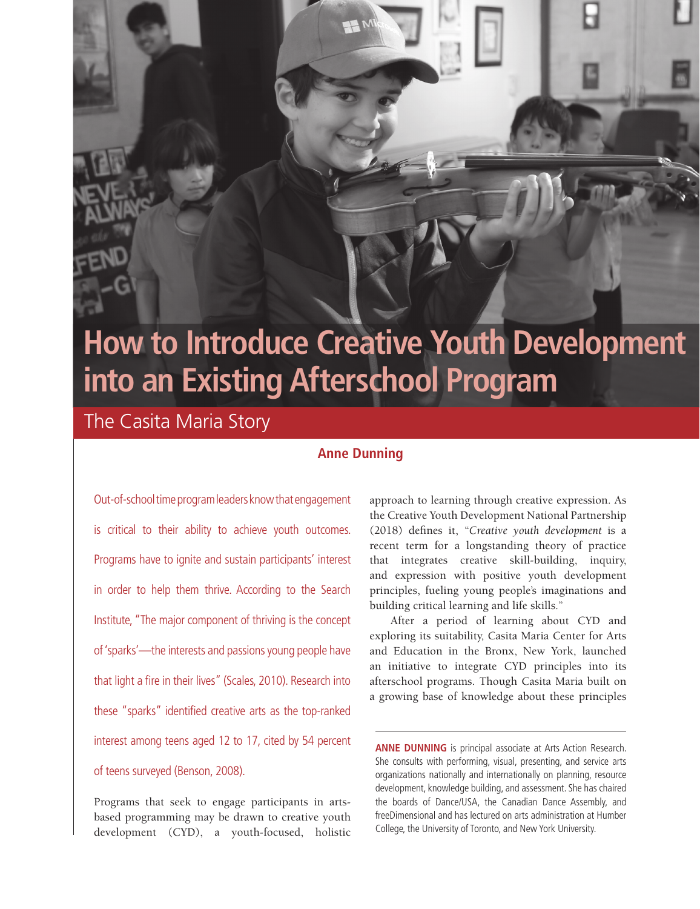# **How to Introduce Creative Youth Development into an Existing Afterschool Program**

The Casita Maria Story

# **Anne Dunning**

Out-of-school time program leaders know that engagement is critical to their ability to achieve youth outcomes. Programs have to ignite and sustain participants' interest in order to help them thrive. According to the Search Institute, "The major component of thriving is the concept of 'sparks'—the interests and passions young people have that light a fire in their lives" (Scales, 2010). Research into these "sparks" identified creative arts as the top-ranked interest among teens aged 12 to 17, cited by 54 percent of teens surveyed (Benson, 2008).

Programs that seek to engage participants in artsbased programming may be drawn to creative youth development (CYD), a youth-focused, holistic approach to learning through creative expression. As the Creative Youth Development National Partnership (2018) defines it, "*Creative youth development* is a recent term for a longstanding theory of practice that integrates creative skill-building, inquiry, and expression with positive youth development principles, fueling young people's imaginations and building critical learning and life skills."

After a period of learning about CYD and exploring its suitability, Casita Maria Center for Arts and Education in the Bronx, New York, launched an initiative to integrate CYD principles into its afterschool programs. Though Casita Maria built on a growing base of knowledge about these principles

**ANNE DUNNING** is principal associate at Arts Action Research. She consults with performing, visual, presenting, and service arts organizations nationally and internationally on planning, resource development, knowledge building, and assessment. She has chaired the boards of Dance/USA, the Canadian Dance Assembly, and freeDimensional and has lectured on arts administration at Humber College, the University of Toronto, and New York University.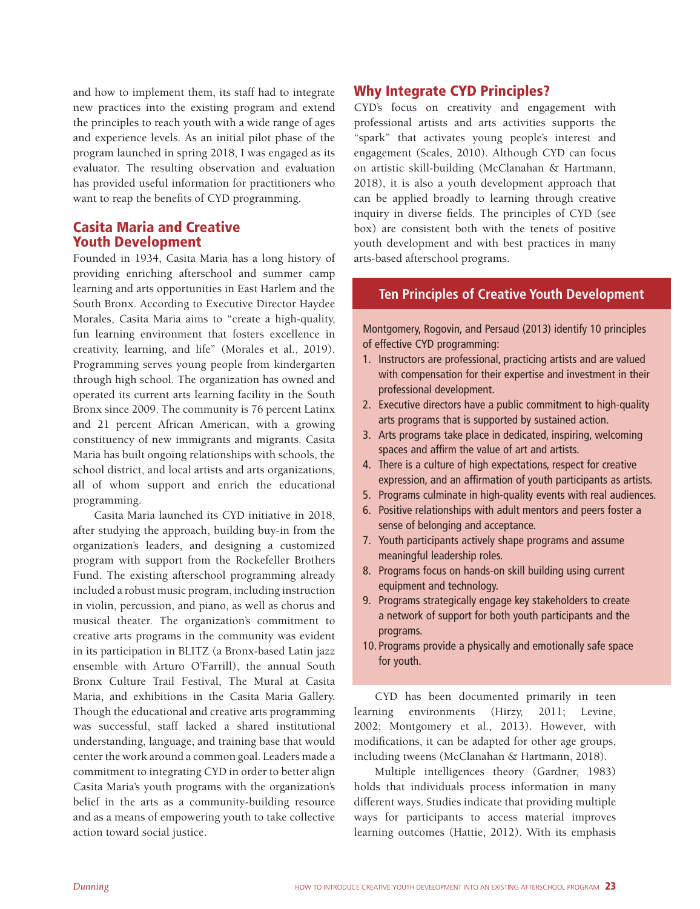and how to implement them, its staff had to integrate new practices into the existing program and extend the principles to reach youth with a wide range of ages and experience levels. As an initial pilot phase of the program launched in spring 2018, I was engaged as its evaluator. The resulting observation and evaluation has provided useful information for practitioners who want to reap the benefits of CYD programming.

## Casita Maria and Creative Youth Development

Founded in 1934, Casita Maria has a long history of providing enriching afterschool and summer camp learning and arts opportunities in East Harlem and the South Bronx. According to Executive Director Haydee Morales, Casita Maria aims to "create a high-quality, fun learning environment that fosters excellence in creativity, learning, and life" (Morales et al., 2019). Programming serves young people from kindergarten through high school. The organization has owned and operated its current arts learning facility in the South Bronx since 2009. The community is 76 percent Latinx and 21 percent African American, with a growing constituency of new immigrants and migrants. Casita Maria has built ongoing relationships with schools, the school district, and local artists and arts organizations, all of whom support and enrich the educational programming.

Casita Maria launched its CYD initiative in 2018, after studying the approach, building buy-in from the organization's leaders, and designing a customized program with support from the Rockefeller Brothers Fund. The existing afterschool programming already included a robust music program, including instruction in violin, percussion, and piano, as well as chorus and musical theater. The organization's commitment to creative arts programs in the community was evident in its participation in BLITZ (a Bronx-based Latin jazz ensemble with Arturo O'Farrill), the annual South Bronx Culture Trail Festival, The Mural at Casita Maria, and exhibitions in the Casita Maria Gallery. Though the educational and creative arts programming was successful, staff lacked a shared institutional understanding, language, and training base that would center the work around a common goal. Leaders made a commitment to integrating CYD in order to better align Casita Maria's youth programs with the organization's belief in the arts as a community-building resource and as a means of empowering youth to take collective action toward social justice.

## Why Integrate CYD Principles?

CYD's focus on creativity and engagement with professional artists and arts activities supports the "spark" that activates young people's interest and engagement (Scales, 2010). Although CYD can focus on artistic skill-building (McClanahan & Hartmann, 2018), it is also a youth development approach that can be applied broadly to learning through creative inquiry in diverse fields. The principles of CYD (see box) are consistent both with the tenets of positive youth development and with best practices in many arts-based afterschool programs.

### **Ten Principles of Creative Youth Development**

Montgomery, Rogovin, and Persaud (2013) identify 10 principles of effective CYD programming:

- 1. Instructors are professional, practicing artists and are valued with compensation for their expertise and investment in their professional development.
- 2. Executive directors have a public commitment to high-quality arts programs that is supported by sustained action.
- 3. Arts programs take place in dedicated, inspiring, welcoming spaces and affirm the value of art and artists.
- 4. There is a culture of high expectations, respect for creative expression, and an affirmation of youth participants as artists.
- 5. Programs culminate in high-quality events with real audiences.
- 6. Positive relationships with adult mentors and peers foster a sense of belonging and acceptance.
- 7. Youth participants actively shape programs and assume meaningful leadership roles.
- 8. Programs focus on hands-on skill building using current equipment and technology.
- 9. Programs strategically engage key stakeholders to create a network of support for both youth participants and the programs.
- 10. Programs provide a physically and emotionally safe space for youth.

CYD has been documented primarily in teen learning environments (Hirzy, 2011; Levine, 2002; Montgomery et al., 2013). However, with modifications, it can be adapted for other age groups, including tweens (McClanahan & Hartmann, 2018).

Multiple intelligences theory (Gardner, 1983) holds that individuals process information in many different ways. Studies indicate that providing multiple ways for participants to access material improves learning outcomes (Hattie, 2012). With its emphasis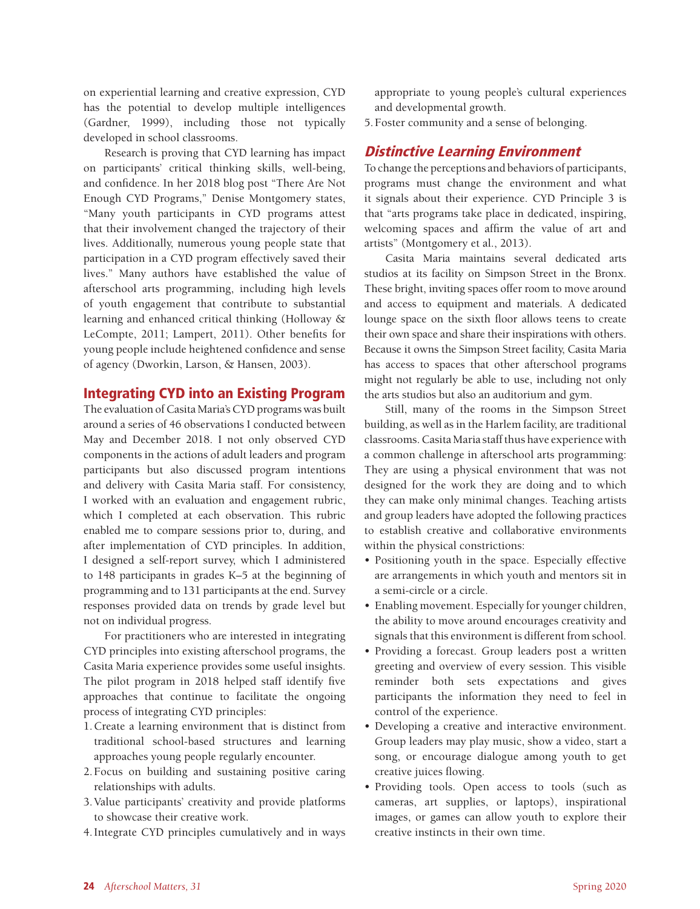on experiential learning and creative expression, CYD has the potential to develop multiple intelligences (Gardner, 1999), including those not typically developed in school classrooms.

Research is proving that CYD learning has impact on participants' critical thinking skills, well-being, and confidence. In her 2018 blog post "There Are Not Enough CYD Programs," Denise Montgomery states, "Many youth participants in CYD programs attest that their involvement changed the trajectory of their lives. Additionally, numerous young people state that participation in a CYD program effectively saved their lives." Many authors have established the value of afterschool arts programming, including high levels of youth engagement that contribute to substantial learning and enhanced critical thinking (Holloway & LeCompte, 2011; Lampert, 2011). Other benefits for young people include heightened confidence and sense of agency (Dworkin, Larson, & Hansen, 2003).

### Integrating CYD into an Existing Program

The evaluation of Casita Maria's CYD programs was built around a series of 46 observations I conducted between May and December 2018. I not only observed CYD components in the actions of adult leaders and program participants but also discussed program intentions and delivery with Casita Maria staff. For consistency, I worked with an evaluation and engagement rubric, which I completed at each observation. This rubric enabled me to compare sessions prior to, during, and after implementation of CYD principles. In addition, I designed a self-report survey, which I administered to 148 participants in grades K–5 at the beginning of programming and to 131 participants at the end. Survey responses provided data on trends by grade level but not on individual progress.

For practitioners who are interested in integrating CYD principles into existing afterschool programs, the Casita Maria experience provides some useful insights. The pilot program in 2018 helped staff identify five approaches that continue to facilitate the ongoing process of integrating CYD principles:

- 1.Create a learning environment that is distinct from traditional school-based structures and learning approaches young people regularly encounter.
- 2.Focus on building and sustaining positive caring relationships with adults.
- 3.Value participants' creativity and provide platforms to showcase their creative work.
- 4.Integrate CYD principles cumulatively and in ways

appropriate to young people's cultural experiences and developmental growth.

5.Foster community and a sense of belonging.

## Distinctive Learning Environment

To change the perceptions and behaviors of participants, programs must change the environment and what it signals about their experience. CYD Principle 3 is that "arts programs take place in dedicated, inspiring, welcoming spaces and affirm the value of art and artists" (Montgomery et al., 2013).

Casita Maria maintains several dedicated arts studios at its facility on Simpson Street in the Bronx. These bright, inviting spaces offer room to move around and access to equipment and materials. A dedicated lounge space on the sixth floor allows teens to create their own space and share their inspirations with others. Because it owns the Simpson Street facility, Casita Maria has access to spaces that other afterschool programs might not regularly be able to use, including not only the arts studios but also an auditorium and gym.

Still, many of the rooms in the Simpson Street building, as well as in the Harlem facility, are traditional classrooms. Casita Maria staff thus have experience with a common challenge in afterschool arts programming: They are using a physical environment that was not designed for the work they are doing and to which they can make only minimal changes. Teaching artists and group leaders have adopted the following practices to establish creative and collaborative environments within the physical constrictions:

- Positioning youth in the space. Especially effective are arrangements in which youth and mentors sit in a semi-circle or a circle.
- Enabling movement. Especially for younger children, the ability to move around encourages creativity and signals that this environment is different from school.
- Providing a forecast. Group leaders post a written greeting and overview of every session. This visible reminder both sets expectations and gives participants the information they need to feel in control of the experience.
- Developing a creative and interactive environment. Group leaders may play music, show a video, start a song, or encourage dialogue among youth to get creative juices flowing.
- Providing tools. Open access to tools (such as cameras, art supplies, or laptops), inspirational images, or games can allow youth to explore their creative instincts in their own time.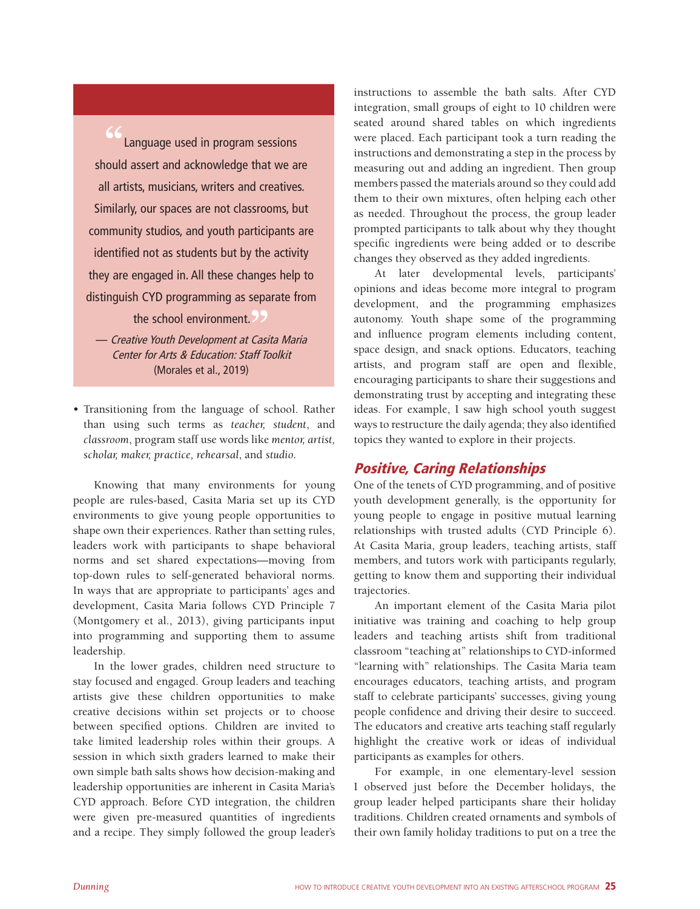Language used in program sessions should assert and acknowledge that we are all artists, musicians, writers and creatives. Similarly, our spaces are not classrooms, but community studios, and youth participants are identified not as students but by the activity they are engaged in. All these changes help to distinguish CYD programming as separate from

the school environment. the school environment.<sup>99</sup><br>— *Creative Youth Development at Casita Maria* 

Center for Arts & Education: Staff Toolkit (Morales et al., 2019)

• Transitioning from the language of school. Rather than using such terms as *teacher, student*, and *classroom*, program staff use words like *mentor, artist, scholar, maker, practice, rehearsal*, and *studio*.

Knowing that many environments for young people are rules-based, Casita Maria set up its CYD environments to give young people opportunities to shape own their experiences. Rather than setting rules, leaders work with participants to shape behavioral norms and set shared expectations—moving from top-down rules to self-generated behavioral norms. In ways that are appropriate to participants' ages and development, Casita Maria follows CYD Principle 7 (Montgomery et al., 2013), giving participants input into programming and supporting them to assume leadership.

In the lower grades, children need structure to stay focused and engaged. Group leaders and teaching artists give these children opportunities to make creative decisions within set projects or to choose between specified options. Children are invited to take limited leadership roles within their groups. A session in which sixth graders learned to make their own simple bath salts shows how decision-making and leadership opportunities are inherent in Casita Maria's CYD approach. Before CYD integration, the children were given pre-measured quantities of ingredients and a recipe. They simply followed the group leader's instructions to assemble the bath salts. After CYD integration, small groups of eight to 10 children were seated around shared tables on which ingredients were placed. Each participant took a turn reading the instructions and demonstrating a step in the process by measuring out and adding an ingredient. Then group members passed the materials around so they could add them to their own mixtures, often helping each other as needed. Throughout the process, the group leader prompted participants to talk about why they thought specific ingredients were being added or to describe changes they observed as they added ingredients.

At later developmental levels, participants' opinions and ideas become more integral to program development, and the programming emphasizes autonomy. Youth shape some of the programming and influence program elements including content, space design, and snack options. Educators, teaching artists, and program staff are open and flexible, encouraging participants to share their suggestions and demonstrating trust by accepting and integrating these ideas. For example, I saw high school youth suggest ways to restructure the daily agenda; they also identified topics they wanted to explore in their projects.

# Positive, Caring Relationships

One of the tenets of CYD programming, and of positive youth development generally, is the opportunity for young people to engage in positive mutual learning relationships with trusted adults (CYD Principle 6). At Casita Maria, group leaders, teaching artists, staff members, and tutors work with participants regularly, getting to know them and supporting their individual trajectories.

An important element of the Casita Maria pilot initiative was training and coaching to help group leaders and teaching artists shift from traditional classroom "teaching at" relationships to CYD-informed "learning with" relationships. The Casita Maria team encourages educators, teaching artists, and program staff to celebrate participants' successes, giving young people confidence and driving their desire to succeed. The educators and creative arts teaching staff regularly highlight the creative work or ideas of individual participants as examples for others.

For example, in one elementary-level session I observed just before the December holidays, the group leader helped participants share their holiday traditions. Children created ornaments and symbols of their own family holiday traditions to put on a tree the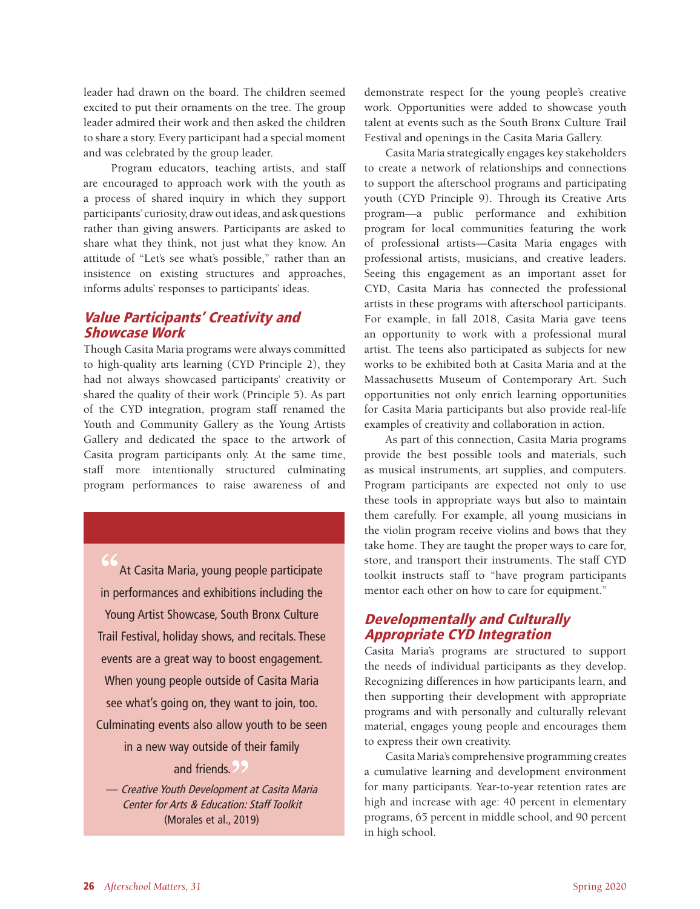leader had drawn on the board. The children seemed excited to put their ornaments on the tree. The group leader admired their work and then asked the children to share a story. Every participant had a special moment and was celebrated by the group leader.

 Program educators, teaching artists, and staff are encouraged to approach work with the youth as a process of shared inquiry in which they support participants' curiosity, draw out ideas, and ask questions rather than giving answers. Participants are asked to share what they think, not just what they know. An attitude of "Let's see what's possible," rather than an insistence on existing structures and approaches, informs adults' responses to participants' ideas.

# Value Participants' Creativity and Showcase Work

Though Casita Maria programs were always committed to high-quality arts learning (CYD Principle 2), they had not always showcased participants' creativity or shared the quality of their work (Principle 5). As part of the CYD integration, program staff renamed the Youth and Community Gallery as the Young Artists Gallery and dedicated the space to the artwork of Casita program participants only. At the same time, staff more intentionally structured culminating program performances to raise awareness of and

**"**At Casita Maria, young people participate in performances and exhibitions including the Young Artist Showcase, South Bronx Culture Trail Festival, holiday shows, and recitals. These events are a great way to boost engagement. When young people outside of Casita Maria see what's going on, they want to join, too. Culminating events also allow youth to be seen in a new way outside of their family and friends. and friends. <sup>>></sup><br>Freative Youth Development at Casita Maria

Center for Arts & Education: Staff Toolkit (Morales et al., 2019)

demonstrate respect for the young people's creative work. Opportunities were added to showcase youth talent at events such as the South Bronx Culture Trail Festival and openings in the Casita Maria Gallery.

Casita Maria strategically engages key stakeholders to create a network of relationships and connections to support the afterschool programs and participating youth (CYD Principle 9). Through its Creative Arts program—a public performance and exhibition program for local communities featuring the work of professional artists—Casita Maria engages with professional artists, musicians, and creative leaders. Seeing this engagement as an important asset for CYD, Casita Maria has connected the professional artists in these programs with afterschool participants. For example, in fall 2018, Casita Maria gave teens an opportunity to work with a professional mural artist. The teens also participated as subjects for new works to be exhibited both at Casita Maria and at the Massachusetts Museum of Contemporary Art. Such opportunities not only enrich learning opportunities for Casita Maria participants but also provide real-life examples of creativity and collaboration in action.

As part of this connection, Casita Maria programs provide the best possible tools and materials, such as musical instruments, art supplies, and computers. Program participants are expected not only to use these tools in appropriate ways but also to maintain them carefully. For example, all young musicians in the violin program receive violins and bows that they take home. They are taught the proper ways to care for, store, and transport their instruments. The staff CYD toolkit instructs staff to "have program participants mentor each other on how to care for equipment."

# Developmentally and Culturally Appropriate CYD Integration

Casita Maria's programs are structured to support the needs of individual participants as they develop. Recognizing differences in how participants learn, and then supporting their development with appropriate programs and with personally and culturally relevant material, engages young people and encourages them to express their own creativity.

Casita Maria's comprehensive programming creates a cumulative learning and development environment for many participants. Year-to-year retention rates are high and increase with age: 40 percent in elementary programs, 65 percent in middle school, and 90 percent in high school.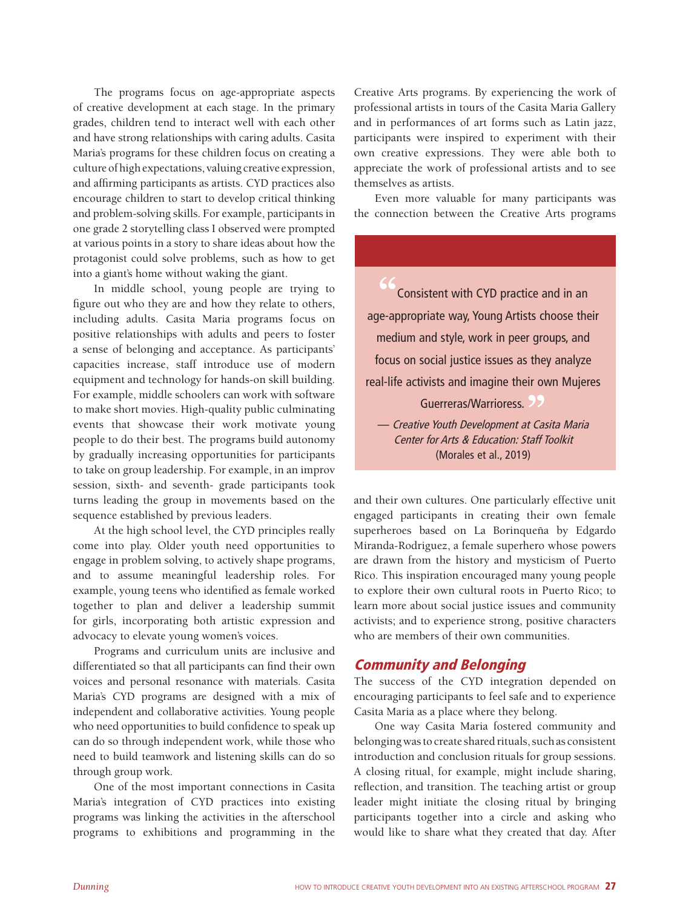The programs focus on age-appropriate aspects of creative development at each stage. In the primary grades, children tend to interact well with each other and have strong relationships with caring adults. Casita Maria's programs for these children focus on creating a culture of high expectations, valuing creative expression, and affirming participants as artists. CYD practices also encourage children to start to develop critical thinking and problem-solving skills. For example, participants in one grade 2 storytelling class I observed were prompted at various points in a story to share ideas about how the protagonist could solve problems, such as how to get into a giant's home without waking the giant.

In middle school, young people are trying to figure out who they are and how they relate to others, including adults. Casita Maria programs focus on positive relationships with adults and peers to foster a sense of belonging and acceptance. As participants' capacities increase, staff introduce use of modern equipment and technology for hands-on skill building. For example, middle schoolers can work with software to make short movies. High-quality public culminating events that showcase their work motivate young people to do their best. The programs build autonomy by gradually increasing opportunities for participants to take on group leadership. For example, in an improv session, sixth- and seventh- grade participants took turns leading the group in movements based on the sequence established by previous leaders.

At the high school level, the CYD principles really come into play. Older youth need opportunities to engage in problem solving, to actively shape programs, and to assume meaningful leadership roles. For example, young teens who identified as female worked together to plan and deliver a leadership summit for girls, incorporating both artistic expression and advocacy to elevate young women's voices.

Programs and curriculum units are inclusive and differentiated so that all participants can find their own voices and personal resonance with materials. Casita Maria's CYD programs are designed with a mix of independent and collaborative activities. Young people who need opportunities to build confidence to speak up can do so through independent work, while those who need to build teamwork and listening skills can do so through group work.

One of the most important connections in Casita Maria's integration of CYD practices into existing programs was linking the activities in the afterschool programs to exhibitions and programming in the

Creative Arts programs. By experiencing the work of professional artists in tours of the Casita Maria Gallery and in performances of art forms such as Latin jazz, participants were inspired to experiment with their own creative expressions. They were able both to appreciate the work of professional artists and to see themselves as artists.

Even more valuable for many participants was the connection between the Creative Arts programs

**"**Consistent with CYD practice and in an age-appropriate way, Young Artists choose their medium and style, work in peer groups, and focus on social justice issues as they analyze real-life activists and imagine their own Mujeres Guerreras/Warrioress. Guerreras/Warrioress. <sup>99</sup><br>— Creative Youth Development at Casita Maria

Center for Arts & Education: Staff Toolkit (Morales et al., 2019)

and their own cultures. One particularly effective unit engaged participants in creating their own female superheroes based on La Borinqueña by Edgardo Miranda-Rodriguez, a female superhero whose powers are drawn from the history and mysticism of Puerto Rico. This inspiration encouraged many young people to explore their own cultural roots in Puerto Rico; to learn more about social justice issues and community activists; and to experience strong, positive characters who are members of their own communities.

## Community and Belonging

The success of the CYD integration depended on encouraging participants to feel safe and to experience Casita Maria as a place where they belong.

One way Casita Maria fostered community and belonging was to create shared rituals, such as consistent introduction and conclusion rituals for group sessions. A closing ritual, for example, might include sharing, reflection, and transition. The teaching artist or group leader might initiate the closing ritual by bringing participants together into a circle and asking who would like to share what they created that day. After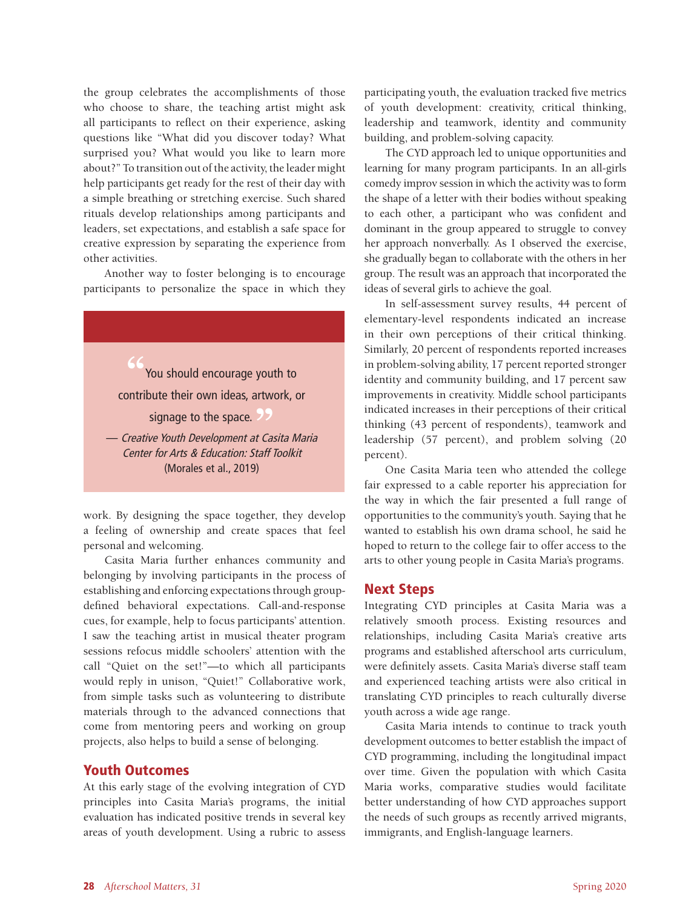the group celebrates the accomplishments of those who choose to share, the teaching artist might ask all participants to reflect on their experience, asking questions like "What did you discover today? What surprised you? What would you like to learn more about?" To transition out of the activity, the leader might help participants get ready for the rest of their day with a simple breathing or stretching exercise. Such shared rituals develop relationships among participants and leaders, set expectations, and establish a safe space for creative expression by separating the experience from other activities.

Another way to foster belonging is to encourage participants to personalize the space in which they

**"**You should encourage youth to contribute their own ideas, artwork, or signage to the space. signage to the space. **99**<br>— Creative Youth Development at Casita Maria Center for Arts & Education: Staff Toolkit

work. By designing the space together, they develop a feeling of ownership and create spaces that feel personal and welcoming.

(Morales et al., 2019)

Casita Maria further enhances community and belonging by involving participants in the process of establishing and enforcing expectations through groupdefined behavioral expectations. Call-and-response cues, for example, help to focus participants' attention. I saw the teaching artist in musical theater program sessions refocus middle schoolers' attention with the call "Quiet on the set!"—to which all participants would reply in unison, "Quiet!" Collaborative work, from simple tasks such as volunteering to distribute materials through to the advanced connections that come from mentoring peers and working on group projects, also helps to build a sense of belonging.

### Youth Outcomes

At this early stage of the evolving integration of CYD principles into Casita Maria's programs, the initial evaluation has indicated positive trends in several key areas of youth development. Using a rubric to assess participating youth**,** the evaluation tracked five metrics of youth development: creativity, critical thinking, leadership and teamwork, identity and community building, and problem-solving capacity.

The CYD approach led to unique opportunities and learning for many program participants. In an all-girls comedy improv session in which the activity was to form the shape of a letter with their bodies without speaking to each other, a participant who was confident and dominant in the group appeared to struggle to convey her approach nonverbally. As I observed the exercise, she gradually began to collaborate with the others in her group. The result was an approach that incorporated the ideas of several girls to achieve the goal.

In self-assessment survey results, 44 percent of elementary-level respondents indicated an increase in their own perceptions of their critical thinking. Similarly, 20 percent of respondents reported increases in problem-solving ability, 17 percent reported stronger identity and community building, and 17 percent saw improvements in creativity. Middle school participants indicated increases in their perceptions of their critical thinking (43 percent of respondents), teamwork and leadership (57 percent), and problem solving (20 percent).

One Casita Maria teen who attended the college fair expressed to a cable reporter his appreciation for the way in which the fair presented a full range of opportunities to the community's youth. Saying that he wanted to establish his own drama school, he said he hoped to return to the college fair to offer access to the arts to other young people in Casita Maria's programs.

#### Next Steps

Integrating CYD principles at Casita Maria was a relatively smooth process. Existing resources and relationships, including Casita Maria's creative arts programs and established afterschool arts curriculum, were definitely assets. Casita Maria's diverse staff team and experienced teaching artists were also critical in translating CYD principles to reach culturally diverse youth across a wide age range.

Casita Maria intends to continue to track youth development outcomes to better establish the impact of CYD programming, including the longitudinal impact over time. Given the population with which Casita Maria works, comparative studies would facilitate better understanding of how CYD approaches support the needs of such groups as recently arrived migrants, immigrants, and English-language learners.